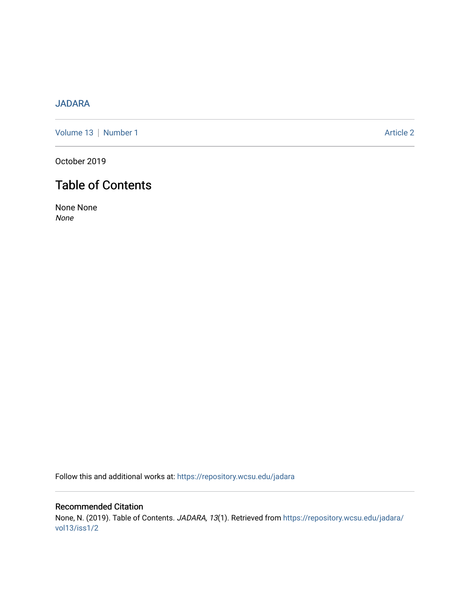# [JADARA](https://repository.wcsu.edu/jadara)

[Volume 13](https://repository.wcsu.edu/jadara/vol13) | [Number 1](https://repository.wcsu.edu/jadara/vol13/iss1) Article 2

October 2019

# Table of Contents

None None None

Follow this and additional works at: [https://repository.wcsu.edu/jadara](https://repository.wcsu.edu/jadara?utm_source=repository.wcsu.edu%2Fjadara%2Fvol13%2Fiss1%2F2&utm_medium=PDF&utm_campaign=PDFCoverPages)

Recommended Citation None, N. (2019). Table of Contents. JADARA, 13(1). Retrieved from [https://repository.wcsu.edu/jadara/](https://repository.wcsu.edu/jadara/vol13/iss1/2?utm_source=repository.wcsu.edu%2Fjadara%2Fvol13%2Fiss1%2F2&utm_medium=PDF&utm_campaign=PDFCoverPages) [vol13/iss1/2](https://repository.wcsu.edu/jadara/vol13/iss1/2?utm_source=repository.wcsu.edu%2Fjadara%2Fvol13%2Fiss1%2F2&utm_medium=PDF&utm_campaign=PDFCoverPages)